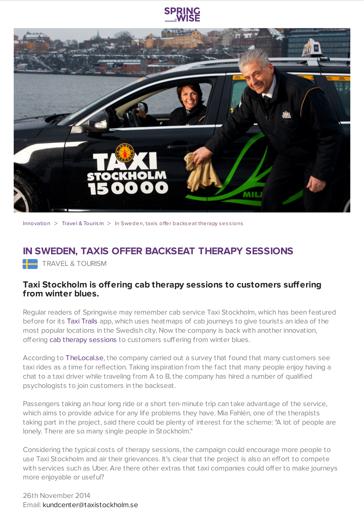



[Innovation](https://www.springwise.com/search?type=innovation)  $>$  Travel & [Tourism](https://www.springwise.com/search?type=innovation§or=travel-and-tourism)  $>$  In Sweden, taxis offer backseat therapy sessions

## **IN SWEDEN, TAXIS OFFER BACKSEAT THERAPY SESSIONS**

**TRAVEL & TOURISM** 

## **Taxi Stockholm is offering cab therapy sessions to customers suffering from winter blues.**

Regular readers of Springwise may remember cab service Taxi Stockholm, which has been featured before for its Taxi [Trails](https://www.springwise.com/stockholm-tourist-guide-based-citys-popular-taxi-trips/) app, which uses heatmaps of cab journeys to give tourists an idea of the most popular locations in the Swedish city. Now the company is back with another innovation, offering cab therapy [sessions](http://www.dailymail.co.uk/news/article-2812359/The-taxis-passengers-tips-Cab-firm-puts-therapists-cars-counsel-lonely-Swedes.html) to customers suffering from winter blues.

According to [TheLocal.se,](http://www.thelocal.se/20141027/stockholm-cabs-get-free-therapy-sessions) the company carried out a survey that found that many customers see taxi rides as a time for reflection. Taking inspiration from the fact that many people enjoy having a chat to a taxi driver while traveling from A to B, the company has hired a number of qualified psychologists to join customers in the backseat.

Passengers taking an hour long ride or a short ten-minute trip can take advantage of the service, which aims to provide advice for any life problems they have. Mia Fahlén, one of the therapists taking part in the project, said there could be plenty of interest for the scheme: "A lot of people are lonely. There are so many single people in Stockholm."

Considering the typical costs of therapy sessions, the campaign could encourage more people to use Taxi Stockholm and air their grievances. It's clear that the project is also an effort to compete with services such as Uber. Are there other extras that taxi companies could offer to make journeys more enjoyable or useful?

26th November 2014 Email: [kundcenter@taxistockholm.se](mailto:kundcenter@taxistockholm.se)